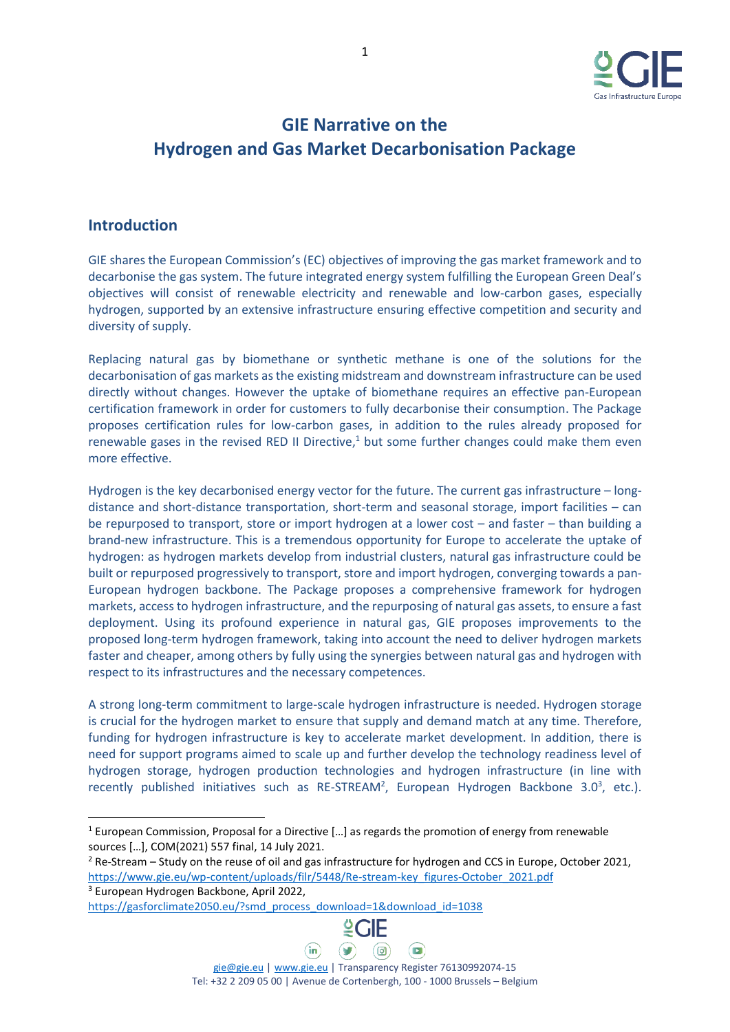

# **GIE Narrative on the Hydrogen and Gas Market Decarbonisation Package**

### **Introduction**

GIE shares the European Commission's (EC) objectives of improving the gas market framework and to decarbonise the gas system. The future integrated energy system fulfilling the European Green Deal's objectives will consist of renewable electricity and renewable and low-carbon gases, especially hydrogen, supported by an extensive infrastructure ensuring effective competition and security and diversity of supply.

Replacing natural gas by biomethane or synthetic methane is one of the solutions for the decarbonisation of gas markets as the existing midstream and downstream infrastructure can be used directly without changes. However the uptake of biomethane requires an effective pan-European certification framework in order for customers to fully decarbonise their consumption. The Package proposes certification rules for low-carbon gases, in addition to the rules already proposed for renewable gases in the revised RED II Directive,<sup>1</sup> but some further changes could make them even more effective.

Hydrogen is the key decarbonised energy vector for the future. The current gas infrastructure – longdistance and short-distance transportation, short-term and seasonal storage, import facilities – can be repurposed to transport, store or import hydrogen at a lower cost – and faster – than building a brand-new infrastructure. This is a tremendous opportunity for Europe to accelerate the uptake of hydrogen: as hydrogen markets develop from industrial clusters, natural gas infrastructure could be built or repurposed progressively to transport, store and import hydrogen, converging towards a pan-European hydrogen backbone. The Package proposes a comprehensive framework for hydrogen markets, access to hydrogen infrastructure, and the repurposing of natural gas assets, to ensure a fast deployment. Using its profound experience in natural gas, GIE proposes improvements to the proposed long-term hydrogen framework, taking into account the need to deliver hydrogen markets faster and cheaper, among others by fully using the synergies between natural gas and hydrogen with respect to its infrastructures and the necessary competences.

A strong long-term commitment to large-scale hydrogen infrastructure is needed. Hydrogen storage is crucial for the hydrogen market to ensure that supply and demand match at any time. Therefore, funding for hydrogen infrastructure is key to accelerate market development. In addition, there is need for support programs aimed to scale up and further develop the technology readiness level of hydrogen storage, hydrogen production technologies and hydrogen infrastructure (in line with recently published initiatives such as RE-STREAM<sup>2</sup>, European Hydrogen Backbone 3.0<sup>3</sup>, etc.).

<sup>3</sup> European Hydrogen Backbone, April 2022,

[https://gasforclimate2050.eu/?smd\\_process\\_download=1&download\\_id=1038](https://gasforclimate2050.eu/?smd_process_download=1&download_id=1038)



<sup>&</sup>lt;sup>1</sup> European Commission, Proposal for a Directive [...] as regards the promotion of energy from renewable sources […], COM(2021) 557 final, 14 July 2021.

<sup>2</sup> Re-Stream – Study on the reuse of oil and gas infrastructure for hydrogen and CCS in Europe, October 2021, [https://www.gie.eu/wp-content/uploads/filr/5448/Re-stream-key\\_figures-October\\_2021.pdf](https://www.gie.eu/wp-content/uploads/filr/5448/Re-stream-key_figures-October_2021.pdf)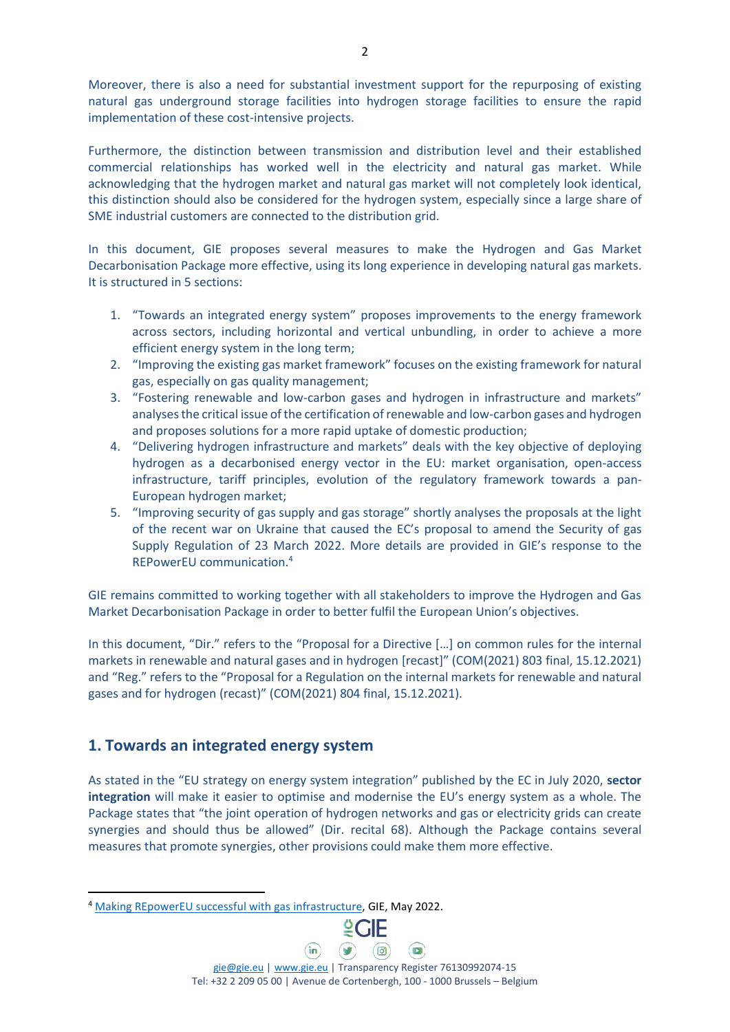Moreover, there is also a need for substantial investment support for the repurposing of existing natural gas underground storage facilities into hydrogen storage facilities to ensure the rapid implementation of these cost-intensive projects.

Furthermore, the distinction between transmission and distribution level and their established commercial relationships has worked well in the electricity and natural gas market. While acknowledging that the hydrogen market and natural gas market will not completely look identical, this distinction should also be considered for the hydrogen system, especially since a large share of SME industrial customers are connected to the distribution grid.

In this document, GIE proposes several measures to make the Hydrogen and Gas Market Decarbonisation Package more effective, using its long experience in developing natural gas markets. It is structured in 5 sections:

- 1. "Towards an integrated energy system" proposes improvements to the energy framework across sectors, including horizontal and vertical unbundling, in order to achieve a more efficient energy system in the long term;
- 2. "Improving the existing gas market framework" focuses on the existing framework for natural gas, especially on gas quality management;
- 3. "Fostering renewable and low-carbon gases and hydrogen in infrastructure and markets" analyses the critical issue of the certification of renewable and low-carbon gases and hydrogen and proposes solutions for a more rapid uptake of domestic production;
- 4. "Delivering hydrogen infrastructure and markets" deals with the key objective of deploying hydrogen as a decarbonised energy vector in the EU: market organisation, open-access infrastructure, tariff principles, evolution of the regulatory framework towards a pan-European hydrogen market;
- 5. "Improving security of gas supply and gas storage" shortly analyses the proposals at the light of the recent war on Ukraine that caused the EC's proposal to amend the Security of gas Supply Regulation of 23 March 2022. More details are provided in GIE's response to the REPowerEU communication. 4

GIE remains committed to working together with all stakeholders to improve the Hydrogen and Gas Market Decarbonisation Package in order to better fulfil the European Union's objectives.

In this document, "Dir." refers to the "Proposal for a Directive […] on common rules for the internal markets in renewable and natural gases and in hydrogen [recast]" (COM(2021) 803 final, 15.12.2021) and "Reg." refers to the "Proposal for a Regulation on the internal markets for renewable and natural gases and for hydrogen (recast)" (COM(2021) 804 final, 15.12.2021).

## **1. Towards an integrated energy system**

As stated in the "EU strategy on energy system integration" published by the EC in July 2020, **sector integration** will make it easier to optimise and modernise the EU's energy system as a whole. The Package states that "the joint operation of hydrogen networks and gas or electricity grids can create synergies and should thus be allowed" (Dir. recital 68). Although the Package contains several measures that promote synergies, other provisions could make them more effective.

<sup>4</sup> [Making REpowerEU successful with gas infrastructure,](https://www.gie.eu/press/making-repowereu-successful-with-gas-infrastructure/) GIE, May 2022.



[gie@gie.eu](mailto:gie@gie.eu) | [www.gie.eu](http://www.gie.eu/) | Transparency Register 76130992074-15 Tel: +32 2 209 05 00 | Avenue de Cortenbergh, 100 - 1000 Brussels – Belgium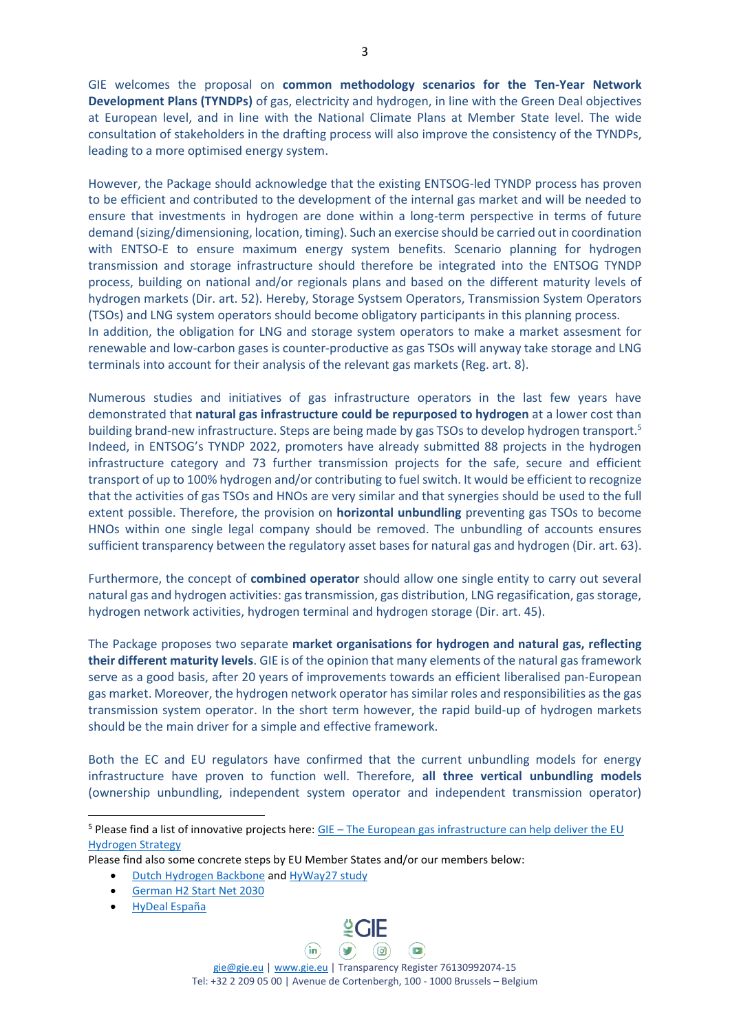GIE welcomes the proposal on **common methodology scenarios for the Ten-Year Network Development Plans (TYNDPs)** of gas, electricity and hydrogen, in line with the Green Deal objectives at European level, and in line with the National Climate Plans at Member State level. The wide consultation of stakeholders in the drafting process will also improve the consistency of the TYNDPs, leading to a more optimised energy system.

However, the Package should acknowledge that the existing ENTSOG-led TYNDP process has proven to be efficient and contributed to the development of the internal gas market and will be needed to ensure that investments in hydrogen are done within a long-term perspective in terms of future demand (sizing/dimensioning, location, timing). Such an exercise should be carried out in coordination with ENTSO-E to ensure maximum energy system benefits. Scenario planning for hydrogen transmission and storage infrastructure should therefore be integrated into the ENTSOG TYNDP process, building on national and/or regionals plans and based on the different maturity levels of hydrogen markets (Dir. art. 52). Hereby, Storage Systsem Operators, Transmission System Operators (TSOs) and LNG system operators should become obligatory participants in this planning process. In addition, the obligation for LNG and storage system operators to make a market assesment for renewable and low-carbon gases is counter-productive as gas TSOs will anyway take storage and LNG terminals into account for their analysis of the relevant gas markets (Reg. art. 8).

Numerous studies and initiatives of gas infrastructure operators in the last few years have demonstrated that **natural gas infrastructure could be repurposed to hydrogen** at a lower cost than building brand-new infrastructure. Steps are being made by gas TSOs to develop hydrogen transport.<sup>5</sup> Indeed, in ENTSOG's TYNDP 2022, promoters have already submitted 88 projects in the hydrogen infrastructure category and 73 further transmission projects for the safe, secure and efficient transport of up to 100% hydrogen and/or contributing to fuel switch. It would be efficient to recognize that the activities of gas TSOs and HNOs are very similar and that synergies should be used to the full extent possible. Therefore, the provision on **horizontal unbundling** preventing gas TSOs to become HNOs within one single legal company should be removed. The unbundling of accounts ensures sufficient transparency between the regulatory asset bases for natural gas and hydrogen (Dir. art. 63).

Furthermore, the concept of **combined operator** should allow one single entity to carry out several natural gas and hydrogen activities: gas transmission, gas distribution, LNG regasification, gas storage, hydrogen network activities, hydrogen terminal and hydrogen storage (Dir. art. 45).

The Package proposes two separate **market organisations for hydrogen and natural gas, reflecting their different maturity levels**. GIE is of the opinion that many elements of the natural gas framework serve as a good basis, after 20 years of improvements towards an efficient liberalised pan-European gas market. Moreover, the hydrogen network operator has similar roles and responsibilities as the gas transmission system operator. In the short term however, the rapid build-up of hydrogen markets should be the main driver for a simple and effective framework.

Both the EC and EU regulators have confirmed that the current unbundling models for energy infrastructure have proven to function well. Therefore, **all three vertical unbundling models** (ownership unbundling, independent system operator and independent transmission operator)

 $(in)$ 

- [Dutch Hydrogen](https://www.gasunie.nl/en/expertise/hydrogen/hydrogen-backbone) Backbone and [HyWay27 study](https://www.hyway27.nl/en/latest-news/hyway-27-realisation-of-a-national-hydrogen-network)
- [German H2 Start Net 2030](https://fnb-gas.de/en/hydrogen-network/h2-start-net-2030-from-the-ndp-gas-2020-2030/)
- [HyDeal España](https://www.enagas.es/stfls/ENAGAS/Notas%20de%20prensa/15022021%20Final%20English%20-%20HyDeal%20Espan%CC%83a_OK.pdf)



[gie@gie.eu](mailto:gie@gie.eu) | [www.gie.eu](http://www.gie.eu/) | Transparency Register 76130992074-15 Tel: +32 2 209 05 00 | Avenue de Cortenbergh, 100 - 1000 Brussels – Belgium

(ම)

 $\sqrt{2}$ 

 $\mathsf{Q}\mathsf{CIF}$ 

 $(\bullet)$ 

<sup>&</sup>lt;sup>5</sup> Please find a list of innovative projects here: GIE – The European gas infrastructure can help deliver the EU [Hydrogen Strategy](https://www.gie.eu/innovation-lab/)

Please find also some concrete steps by EU Member States and/or our members below: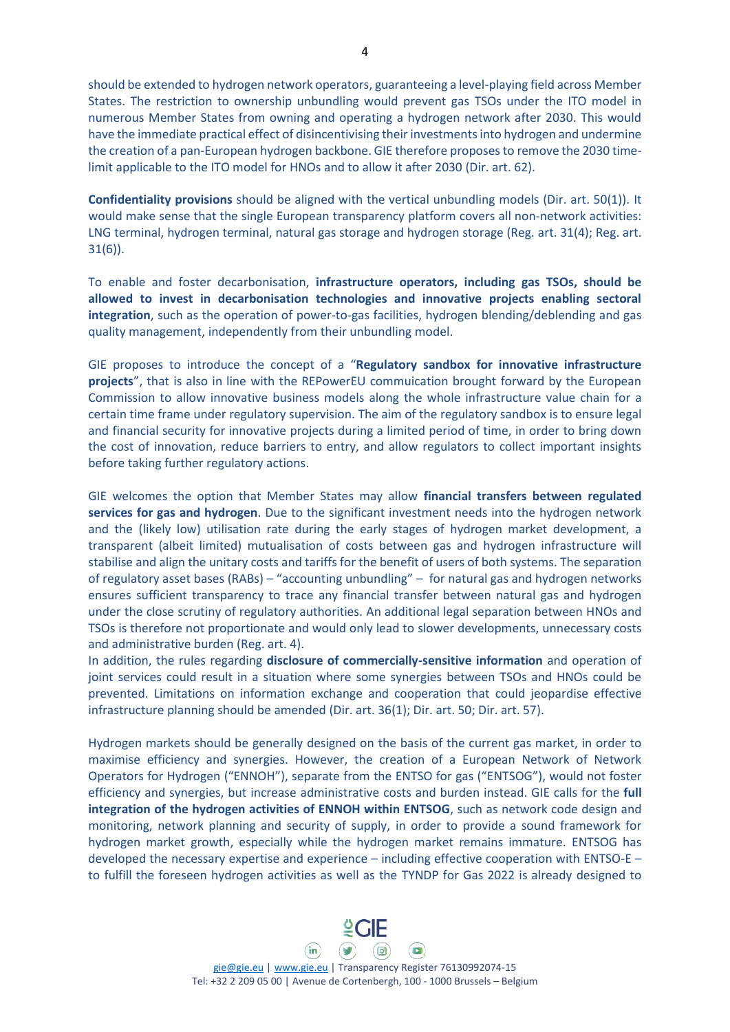should be extended to hydrogen network operators, guaranteeing a level-playing field across Member States. The restriction to ownership unbundling would prevent gas TSOs under the ITO model in numerous Member States from owning and operating a hydrogen network after 2030. This would have the immediate practical effect of disincentivising their investmentsinto hydrogen and undermine the creation of a pan-European hydrogen backbone. GIE therefore proposes to remove the 2030 timelimit applicable to the ITO model for HNOs and to allow it after 2030 (Dir. art. 62).

**Confidentiality provisions** should be aligned with the vertical unbundling models (Dir. art. 50(1)). It would make sense that the single European transparency platform covers all non-network activities: LNG terminal, hydrogen terminal, natural gas storage and hydrogen storage (Reg. art. 31(4); Reg. art. 31(6)).

To enable and foster decarbonisation, **infrastructure operators, including gas TSOs, should be allowed to invest in decarbonisation technologies and innovative projects enabling sectoral integration**, such as the operation of power-to-gas facilities, hydrogen blending/deblending and gas quality management, independently from their unbundling model.

GIE proposes to introduce the concept of a "**Regulatory sandbox for innovative infrastructure projects**", that is also in line with the REPowerEU commuication brought forward by the European Commission to allow innovative business models along the whole infrastructure value chain for a certain time frame under regulatory supervision. The aim of the regulatory sandbox is to ensure legal and financial security for innovative projects during a limited period of time, in order to bring down the cost of innovation, reduce barriers to entry, and allow regulators to collect important insights before taking further regulatory actions.

GIE welcomes the option that Member States may allow **financial transfers between regulated services for gas and hydrogen**. Due to the significant investment needs into the hydrogen network and the (likely low) utilisation rate during the early stages of hydrogen market development, a transparent (albeit limited) mutualisation of costs between gas and hydrogen infrastructure will stabilise and align the unitary costs and tariffs for the benefit of users of both systems. The separation of regulatory asset bases (RABs) – "accounting unbundling" – for natural gas and hydrogen networks ensures sufficient transparency to trace any financial transfer between natural gas and hydrogen under the close scrutiny of regulatory authorities. An additional legal separation between HNOs and TSOs is therefore not proportionate and would only lead to slower developments, unnecessary costs and administrative burden (Reg. art. 4).

In addition, the rules regarding **disclosure of commercially-sensitive information** and operation of joint services could result in a situation where some synergies between TSOs and HNOs could be prevented. Limitations on information exchange and cooperation that could jeopardise effective infrastructure planning should be amended (Dir. art. 36(1); Dir. art. 50; Dir. art. 57).

Hydrogen markets should be generally designed on the basis of the current gas market, in order to maximise efficiency and synergies. However, the creation of a European Network of Network Operators for Hydrogen ("ENNOH"), separate from the ENTSO for gas ("ENTSOG"), would not foster efficiency and synergies, but increase administrative costs and burden instead. GIE calls for the **full integration of the hydrogen activities of ENNOH within ENTSOG**, such as network code design and monitoring, network planning and security of supply, in order to provide a sound framework for hydrogen market growth, especially while the hydrogen market remains immature. ENTSOG has developed the necessary expertise and experience – including effective cooperation with ENTSO-E – to fulfill the foreseen hydrogen activities as well as the TYNDP for Gas 2022 is already designed to



[gie@gie.eu](mailto:gie@gie.eu) | [www.gie.eu](http://www.gie.eu/) | Transparency Register 76130992074-15 Tel: +32 2 209 05 00 | Avenue de Cortenbergh, 100 - 1000 Brussels – Belgium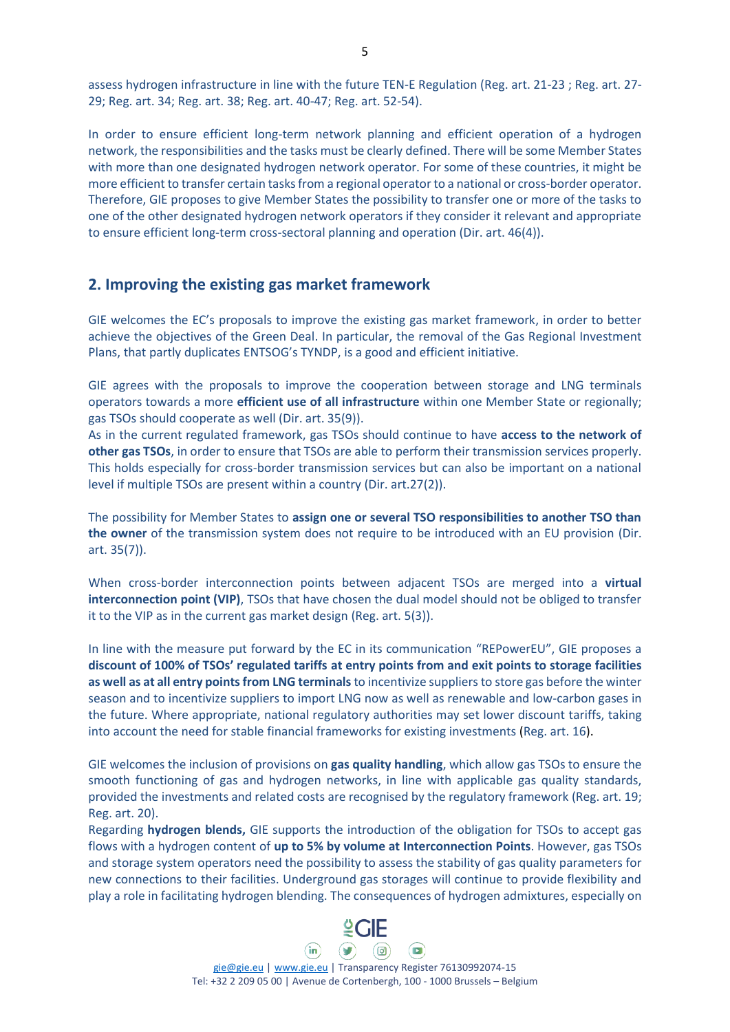assess hydrogen infrastructure in line with the future TEN-E Regulation (Reg. art. 21-23 ; Reg. art. 27- 29; Reg. art. 34; Reg. art. 38; Reg. art. 40-47; Reg. art. 52-54).

In order to ensure efficient long-term network planning and efficient operation of a hydrogen network, the responsibilities and the tasks must be clearly defined. There will be some Member States with more than one designated hydrogen network operator. For some of these countries, it might be more efficient to transfer certain tasks from a regional operator to a national or cross-border operator. Therefore, GIE proposes to give Member States the possibility to transfer one or more of the tasks to one of the other designated hydrogen network operators if they consider it relevant and appropriate to ensure efficient long-term cross-sectoral planning and operation (Dir. art. 46(4)).

#### **2. Improving the existing gas market framework**

GIE welcomes the EC's proposals to improve the existing gas market framework, in order to better achieve the objectives of the Green Deal. In particular, the removal of the Gas Regional Investment Plans, that partly duplicates ENTSOG's TYNDP, is a good and efficient initiative.

GIE agrees with the proposals to improve the cooperation between storage and LNG terminals operators towards a more **efficient use of all infrastructure** within one Member State or regionally; gas TSOs should cooperate as well (Dir. art. 35(9)).

As in the current regulated framework, gas TSOs should continue to have **access to the network of other gas TSOs**, in order to ensure that TSOs are able to perform their transmission services properly. This holds especially for cross-border transmission services but can also be important on a national level if multiple TSOs are present within a country (Dir. art.27(2)).

The possibility for Member States to **assign one or several TSO responsibilities to another TSO than the owner** of the transmission system does not require to be introduced with an EU provision (Dir. art. 35(7)).

When cross-border interconnection points between adjacent TSOs are merged into a **virtual interconnection point (VIP)**, TSOs that have chosen the dual model should not be obliged to transfer it to the VIP as in the current gas market design (Reg. art. 5(3)).

In line with the measure put forward by the EC in its communication "REPowerEU", GIE proposes a **discount of 100% of TSOs' regulated tariffs at entry points from and exit points to storage facilities as well as at all entry points from LNG terminals**to incentivize suppliers to store gas before the winter season and to incentivize suppliers to import LNG now as well as renewable and low-carbon gases in the future. Where appropriate, national regulatory authorities may set lower discount tariffs, taking into account the need for stable financial frameworks for existing investments (Reg. art. 16).

GIE welcomes the inclusion of provisions on **gas quality handling**, which allow gas TSOs to ensure the smooth functioning of gas and hydrogen networks, in line with applicable gas quality standards, provided the investments and related costs are recognised by the regulatory framework (Reg. art. 19; Reg. art. 20).

Regarding **hydrogen blends,** GIE supports the introduction of the obligation for TSOs to accept gas flows with a hydrogen content of **up to 5% by volume at Interconnection Points**. However, gas TSOs and storage system operators need the possibility to assess the stability of gas quality parameters for new connections to their facilities. Underground gas storages will continue to provide flexibility and play a role in facilitating hydrogen blending. The consequences of hydrogen admixtures, especially on



[gie@gie.eu](mailto:gie@gie.eu) | [www.gie.eu](http://www.gie.eu/) | Transparency Register 76130992074-15 Tel: +32 2 209 05 00 | Avenue de Cortenbergh, 100 - 1000 Brussels – Belgium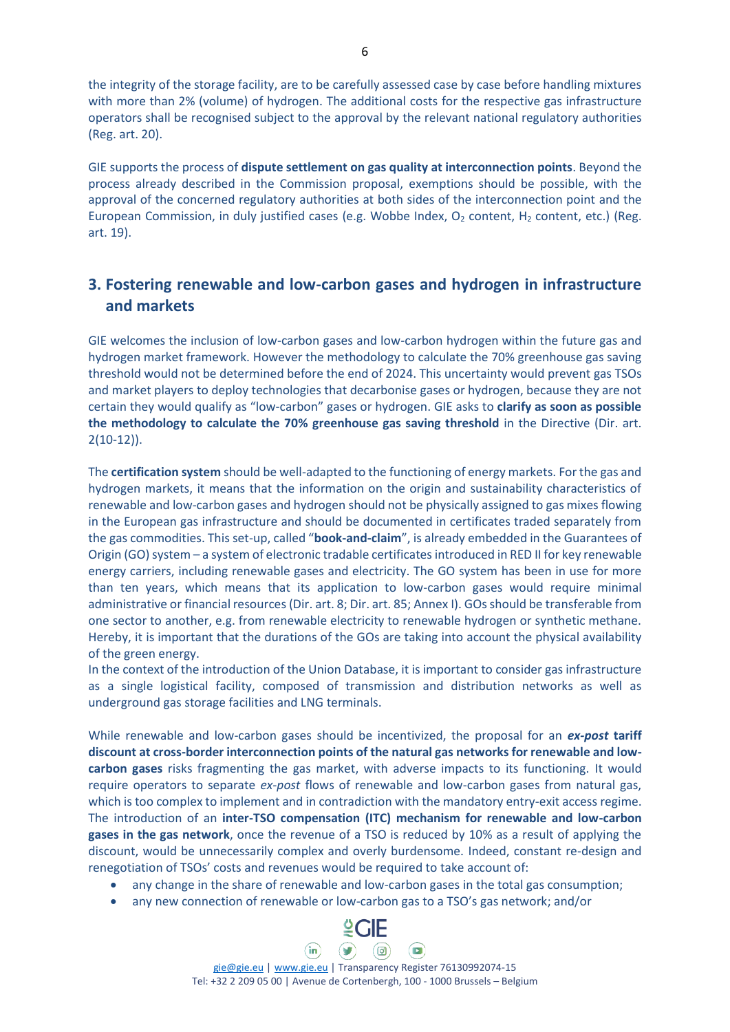the integrity of the storage facility, are to be carefully assessed case by case before handling mixtures with more than 2% (volume) of hydrogen. The additional costs for the respective gas infrastructure operators shall be recognised subject to the approval by the relevant national regulatory authorities (Reg. art. 20).

GIE supports the process of **dispute settlement on gas quality at interconnection points**. Beyond the process already described in the Commission proposal, exemptions should be possible, with the approval of the concerned regulatory authorities at both sides of the interconnection point and the European Commission, in duly justified cases (e.g. Wobbe Index,  $O_2$  content, H<sub>2</sub> content, etc.) (Reg. art. 19).

# **3. Fostering renewable and low-carbon gases and hydrogen in infrastructure and markets**

GIE welcomes the inclusion of low-carbon gases and low-carbon hydrogen within the future gas and hydrogen market framework. However the methodology to calculate the 70% greenhouse gas saving threshold would not be determined before the end of 2024. This uncertainty would prevent gas TSOs and market players to deploy technologies that decarbonise gases or hydrogen, because they are not certain they would qualify as "low-carbon" gases or hydrogen. GIE asks to **clarify as soon as possible the methodology to calculate the 70% greenhouse gas saving threshold** in the Directive (Dir. art. 2(10-12)).

The **certification system** should be well-adapted to the functioning of energy markets. For the gas and hydrogen markets, it means that the information on the origin and sustainability characteristics of renewable and low-carbon gases and hydrogen should not be physically assigned to gas mixes flowing in the European gas infrastructure and should be documented in certificates traded separately from the gas commodities. This set-up, called "**book-and-claim**", is already embedded in the Guarantees of Origin (GO) system – a system of electronic tradable certificates introduced in RED II for key renewable energy carriers, including renewable gases and electricity. The GO system has been in use for more than ten years, which means that its application to low-carbon gases would require minimal administrative or financial resources (Dir. art. 8; Dir. art. 85; Annex I). GOs should be transferable from one sector to another, e.g. from renewable electricity to renewable hydrogen or synthetic methane. Hereby, it is important that the durations of the GOs are taking into account the physical availability of the green energy.

In the context of the introduction of the Union Database, it is important to consider gas infrastructure as a single logistical facility, composed of transmission and distribution networks as well as underground gas storage facilities and LNG terminals.

While renewable and low-carbon gases should be incentivized, the proposal for an *ex-post* **tariff discount at cross-border interconnection points of the natural gas networks for renewable and lowcarbon gases** risks fragmenting the gas market, with adverse impacts to its functioning. It would require operators to separate *ex-post* flows of renewable and low-carbon gases from natural gas, which is too complex to implement and in contradiction with the mandatory entry-exit access regime. The introduction of an **inter-TSO compensation (ITC) mechanism for renewable and low-carbon gases in the gas network**, once the revenue of a TSO is reduced by 10% as a result of applying the discount, would be unnecessarily complex and overly burdensome. Indeed, constant re-design and renegotiation of TSOs' costs and revenues would be required to take account of:

- any change in the share of renewable and low-carbon gases in the total gas consumption;
- any new connection of renewable or low-carbon gas to a TSO's gas network; and/or

 $\left(\mathbf{v}\right)$ 

 $(in)$ 

[gie@gie.eu](mailto:gie@gie.eu) | [www.gie.eu](http://www.gie.eu/) | Transparency Register 76130992074-15 Tel: +32 2 209 05 00 | Avenue de Cortenbergh, 100 - 1000 Brussels – Belgium

 $\overline{\mathsf{C}}$  and  $\overline{\mathsf{C}}$ 

(ම)

 $\left( \blacksquare \right)$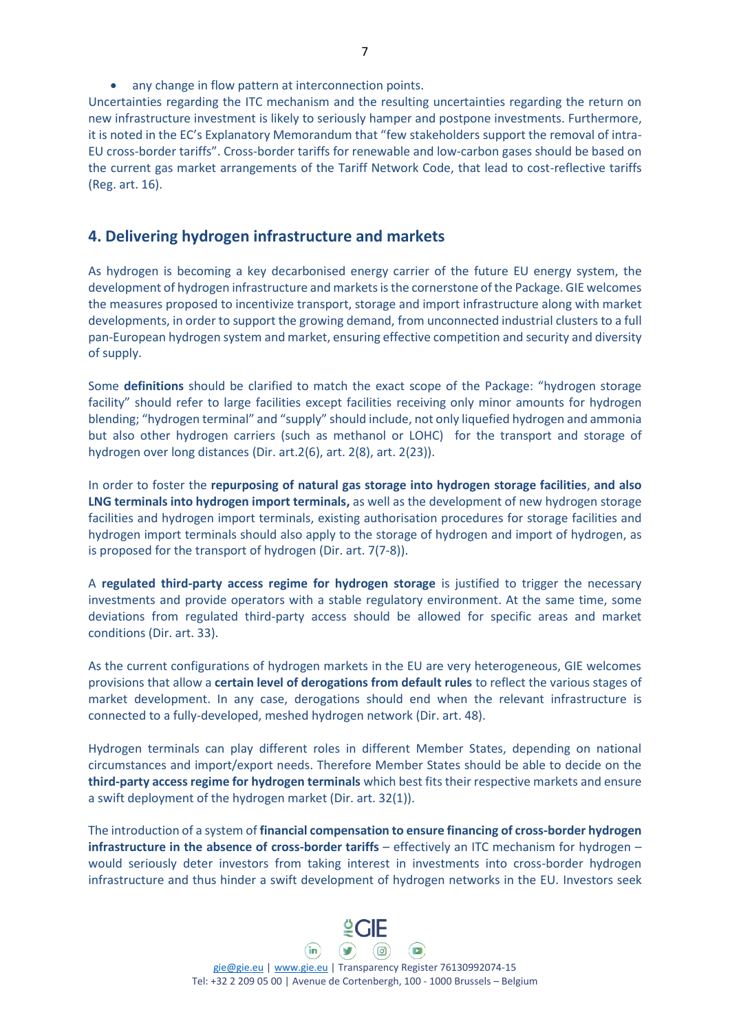• any change in flow pattern at interconnection points.

Uncertainties regarding the ITC mechanism and the resulting uncertainties regarding the return on new infrastructure investment is likely to seriously hamper and postpone investments. Furthermore, it is noted in the EC's Explanatory Memorandum that "few stakeholders support the removal of intra-EU cross-border tariffs". Cross-border tariffs for renewable and low-carbon gases should be based on the current gas market arrangements of the Tariff Network Code, that lead to cost-reflective tariffs (Reg. art. 16).

### **4. Delivering hydrogen infrastructure and markets**

As hydrogen is becoming a key decarbonised energy carrier of the future EU energy system, the development of hydrogen infrastructure and markets is the cornerstone of the Package. GIE welcomes the measures proposed to incentivize transport, storage and import infrastructure along with market developments, in order to support the growing demand, from unconnected industrial clusters to a full pan-European hydrogen system and market, ensuring effective competition and security and diversity of supply.

Some **definitions** should be clarified to match the exact scope of the Package: "hydrogen storage facility" should refer to large facilities except facilities receiving only minor amounts for hydrogen blending; "hydrogen terminal" and "supply" should include, not only liquefied hydrogen and ammonia but also other hydrogen carriers (such as methanol or LOHC) for the transport and storage of hydrogen over long distances (Dir. art.2(6), art. 2(8), art. 2(23)).

In order to foster the **repurposing of natural gas storage into hydrogen storage facilities**, **and also LNG terminals into hydrogen import terminals,** as well as the development of new hydrogen storage facilities and hydrogen import terminals, existing authorisation procedures for storage facilities and hydrogen import terminals should also apply to the storage of hydrogen and import of hydrogen, as is proposed for the transport of hydrogen (Dir. art. 7(7-8)).

A **regulated third-party access regime for hydrogen storage** is justified to trigger the necessary investments and provide operators with a stable regulatory environment. At the same time, some deviations from regulated third-party access should be allowed for specific areas and market conditions (Dir. art. 33).

As the current configurations of hydrogen markets in the EU are very heterogeneous, GIE welcomes provisions that allow a **certain level of derogations from default rules** to reflect the various stages of market development. In any case, derogations should end when the relevant infrastructure is connected to a fully-developed, meshed hydrogen network (Dir. art. 48).

Hydrogen terminals can play different roles in different Member States, depending on national circumstances and import/export needs. Therefore Member States should be able to decide on the **third-party access regime for hydrogen terminals** which best fits their respective markets and ensure a swift deployment of the hydrogen market (Dir. art. 32(1)).

The introduction of a system of **financial compensation to ensure financing of cross-border hydrogen infrastructure in the absence of cross-border tariffs** – effectively an ITC mechanism for hydrogen – would seriously deter investors from taking interest in investments into cross-border hydrogen infrastructure and thus hinder a swift development of hydrogen networks in the EU. Investors seek



[gie@gie.eu](mailto:gie@gie.eu) | [www.gie.eu](http://www.gie.eu/) | Transparency Register 76130992074-15 Tel: +32 2 209 05 00 | Avenue de Cortenbergh, 100 - 1000 Brussels – Belgium

(ම)

 $\sqrt{2}$ 

 $\mathsf{Q}\mathsf{CIF}$ 

 $\left(\mathbf{v}\right)$ 

 $(in)$